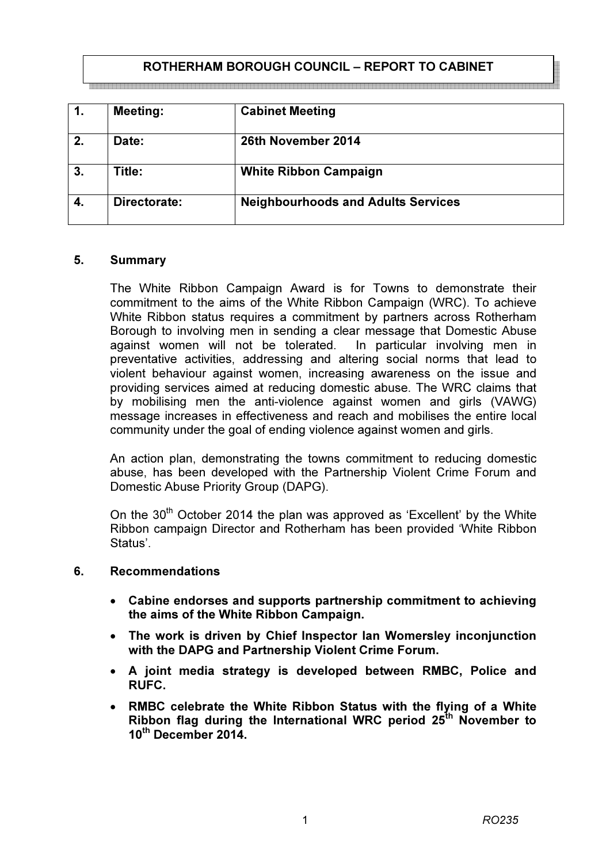## ROTHERHAM BOROUGH COUNCIL – REPORT TO CABINET

| 1. | <b>Meeting:</b> | <b>Cabinet Meeting</b>                    |
|----|-----------------|-------------------------------------------|
| 2. | Date:           | 26th November 2014                        |
| 3. | Title:          | <b>White Ribbon Campaign</b>              |
| 4. | Directorate:    | <b>Neighbourhoods and Adults Services</b> |

#### 5. Summary

The White Ribbon Campaign Award is for Towns to demonstrate their commitment to the aims of the White Ribbon Campaign (WRC). To achieve White Ribbon status requires a commitment by partners across Rotherham Borough to involving men in sending a clear message that Domestic Abuse against women will not be tolerated. In particular involving men in preventative activities, addressing and altering social norms that lead to violent behaviour against women, increasing awareness on the issue and providing services aimed at reducing domestic abuse. The WRC claims that by mobilising men the anti-violence against women and girls (VAWG) message increases in effectiveness and reach and mobilises the entire local community under the goal of ending violence against women and girls.

An action plan, demonstrating the towns commitment to reducing domestic abuse, has been developed with the Partnership Violent Crime Forum and Domestic Abuse Priority Group (DAPG).

On the  $30<sup>th</sup>$  October 2014 the plan was approved as 'Excellent' by the White Ribbon campaign Director and Rotherham has been provided 'White Ribbon Status'.

#### 6. Recommendations

- Cabine endorses and supports partnership commitment to achieving the aims of the White Ribbon Campaign.
- The work is driven by Chief Inspector Ian Womersley inconjunction with the DAPG and Partnership Violent Crime Forum.
- A joint media strategy is developed between RMBC, Police and RUFC.
- RMBC celebrate the White Ribbon Status with the flying of a White Ribbon flag during the International WRC period  $25<sup>th</sup>$  November to 10<sup>th</sup> December 2014.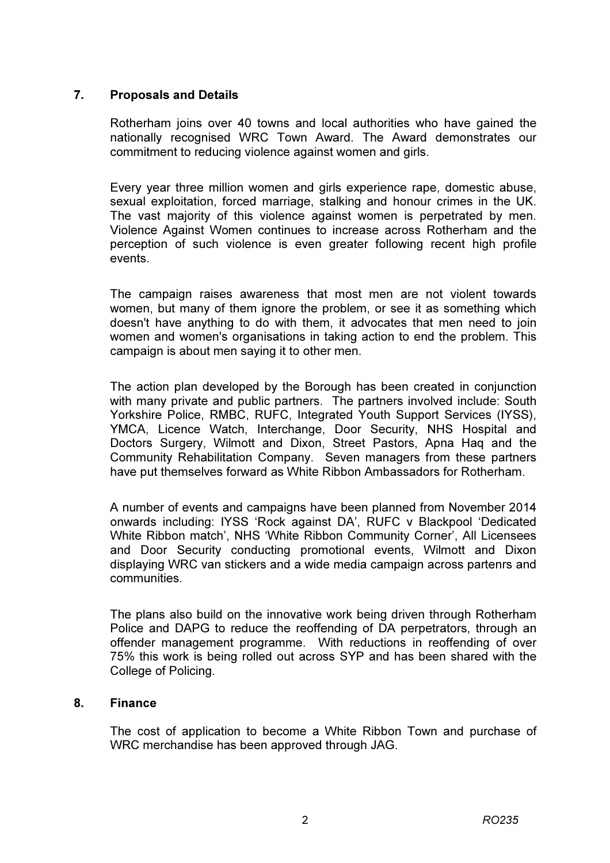## 7. Proposals and Details

Rotherham joins over 40 towns and local authorities who have gained the nationally recognised WRC Town Award. The Award demonstrates our commitment to reducing violence against women and girls.

Every year three million women and girls experience rape, domestic abuse, sexual exploitation, forced marriage, stalking and honour crimes in the UK. The vast majority of this violence against women is perpetrated by men. Violence Against Women continues to increase across Rotherham and the perception of such violence is even greater following recent high profile events.

The campaign raises awareness that most men are not violent towards women, but many of them ignore the problem, or see it as something which doesn't have anything to do with them, it advocates that men need to join women and women's organisations in taking action to end the problem. This campaign is about men saying it to other men.

The action plan developed by the Borough has been created in conjunction with many private and public partners. The partners involved include: South Yorkshire Police, RMBC, RUFC, Integrated Youth Support Services (IYSS), YMCA, Licence Watch, Interchange, Door Security, NHS Hospital and Doctors Surgery, Wilmott and Dixon, Street Pastors, Apna Haq and the Community Rehabilitation Company. Seven managers from these partners have put themselves forward as White Ribbon Ambassadors for Rotherham.

A number of events and campaigns have been planned from November 2014 onwards including: IYSS 'Rock against DA', RUFC v Blackpool 'Dedicated White Ribbon match', NHS 'White Ribbon Community Corner', All Licensees and Door Security conducting promotional events, Wilmott and Dixon displaying WRC van stickers and a wide media campaign across partenrs and communities.

The plans also build on the innovative work being driven through Rotherham Police and DAPG to reduce the reoffending of DA perpetrators, through an offender management programme. With reductions in reoffending of over 75% this work is being rolled out across SYP and has been shared with the College of Policing.

## 8. Finance

The cost of application to become a White Ribbon Town and purchase of WRC merchandise has been approved through JAG.